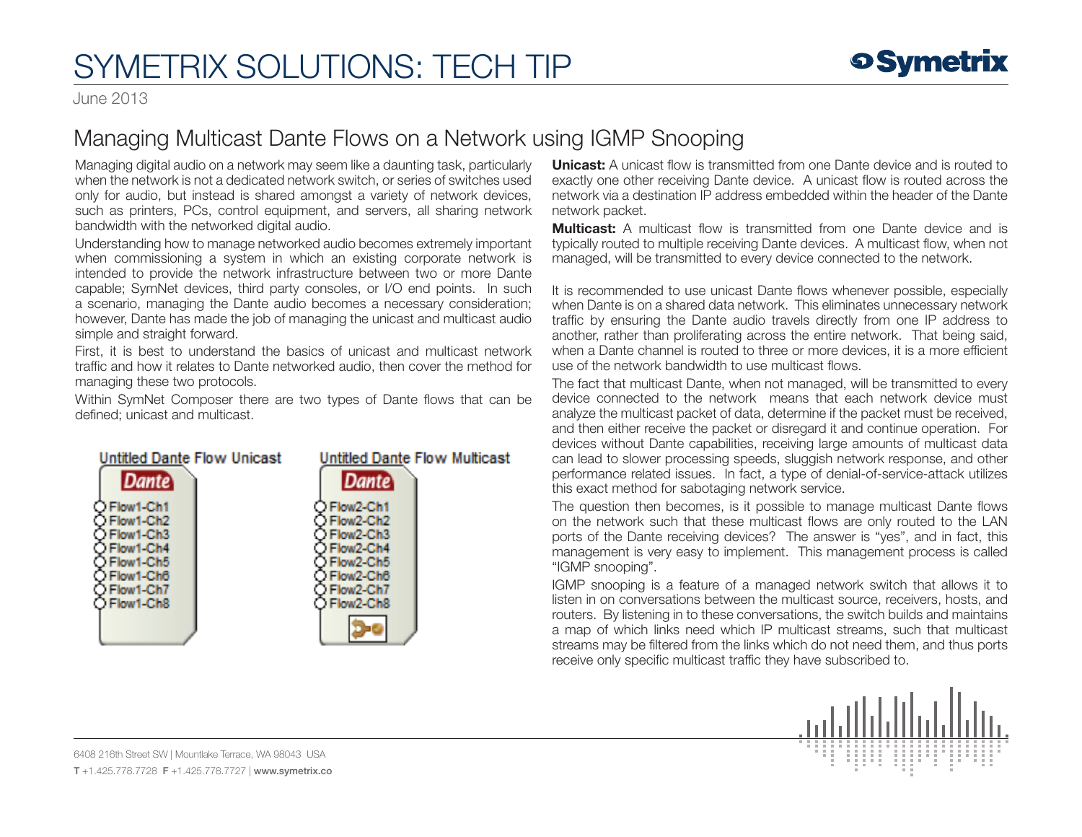## SYMETRIX SOLUTIONS: TECH TIP

June 2013

## Managing Multicast Dante Flows on a Network using IGMP Snooping

Managing digital audio on a network may seem like a daunting task, particularly when the network is not a dedicated network switch, or series of switches used only for audio, but instead is shared amongst a variety of network devices, such as printers, PCs, control equipment, and servers, all sharing network bandwidth with the networked digital audio.

Understanding how to manage networked audio becomes extremely important when commissioning a system in which an existing corporate network is intended to provide the network infrastructure between two or more Dante capable; SymNet devices, third party consoles, or I/O end points. In such a scenario, managing the Dante audio becomes a necessary consideration; however, Dante has made the job of managing the unicast and multicast audio simple and straight forward.

First, it is best to understand the basics of unicast and multicast network traffic and how it relates to Dante networked audio, then cover the method for managing these two protocols.

Within SymNet Composer there are two types of Dante flows that can be defined; unicast and multicast.



**Unicast:** A unicast flow is transmitted from one Dante device and is routed to exactly one other receiving Dante device. A unicast flow is routed across the network via a destination IP address embedded within the header of the Dante network packet.

**Multicast:** A multicast flow is transmitted from one Dante device and is typically routed to multiple receiving Dante devices. A multicast flow, when not managed, will be transmitted to every device connected to the network.

It is recommended to use unicast Dante flows whenever possible, especially when Dante is on a shared data network. This eliminates unnecessary network traffic by ensuring the Dante audio travels directly from one IP address to another, rather than proliferating across the entire network. That being said, when a Dante channel is routed to three or more devices, it is a more efficient use of the network bandwidth to use multicast flows.

The fact that multicast Dante, when not managed, will be transmitted to every device connected to the network means that each network device must analyze the multicast packet of data, determine if the packet must be received, and then either receive the packet or disregard it and continue operation. For devices without Dante capabilities, receiving large amounts of multicast data can lead to slower processing speeds, sluggish network response, and other performance related issues. In fact, a type of denial-of-service-attack utilizes this exact method for sabotaging network service.

The question then becomes, is it possible to manage multicast Dante flows on the network such that these multicast flows are only routed to the LAN ports of the Dante receiving devices? The answer is "yes", and in fact, this management is very easy to implement. This management process is called "IGMP snooping".

IGMP snooping is a feature of a managed network switch that allows it to listen in on conversations between the multicast source, receivers, hosts, and routers. By listening in to these conversations, the switch builds and maintains a map of which links need which IP multicast streams, such that multicast streams may be filtered from the links which do not need them, and thus ports receive only specific multicast traffic they have subscribed to.